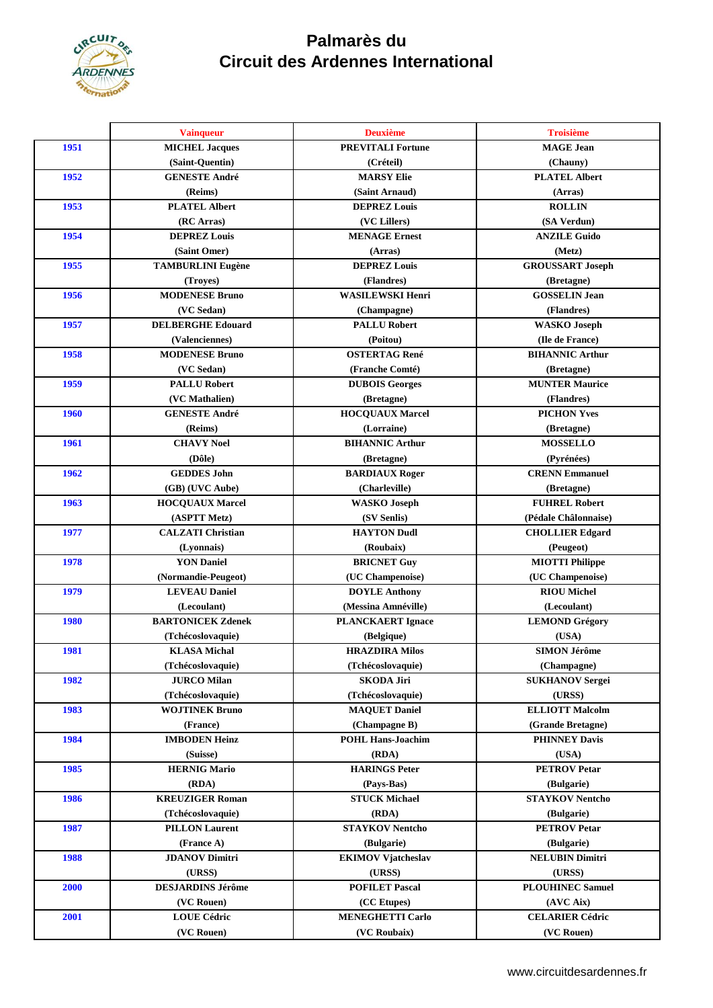

## **Palmarès du Circuit des Ardennes International**

|             | <b>Vainqueur</b>         | <b>Deuxième</b>           | <b>Troisième</b>        |
|-------------|--------------------------|---------------------------|-------------------------|
| 1951        | <b>MICHEL Jacques</b>    | <b>PREVITALI Fortune</b>  | <b>MAGE</b> Jean        |
|             | (Saint-Ouentin)          | (Créteil)                 | (Chauny)                |
| 1952        | <b>GENESTE André</b>     | <b>MARSY Elie</b>         | <b>PLATEL Albert</b>    |
|             | (Reims)                  | (Saint Arnaud)            | (Arras)                 |
| 1953        | <b>PLATEL Albert</b>     | <b>DEPREZ Louis</b>       | <b>ROLLIN</b>           |
|             | (RC Arras)               | (VC Lillers)              | (SA Verdun)             |
| 1954        | <b>DEPREZ Louis</b>      | <b>MENAGE Ernest</b>      | <b>ANZILE Guido</b>     |
|             | (Saint Omer)             | (Arras)                   | (Metz)                  |
| 1955        | <b>TAMBURLINI Eugène</b> | <b>DEPREZ Louis</b>       | <b>GROUSSART Joseph</b> |
|             | (Troyes)                 | (Flandres)                | (Bretagne)              |
| 1956        | <b>MODENESE Bruno</b>    | <b>WASILEWSKI Henri</b>   | <b>GOSSELIN Jean</b>    |
|             | (VC Sedan)               | (Champagne)               | (Flandres)              |
| 1957        | <b>DELBERGHE Edouard</b> | <b>PALLU Robert</b>       | <b>WASKO Joseph</b>     |
|             | (Valenciennes)           | (Poitou)                  | (Ile de France)         |
| 1958        | <b>MODENESE Bruno</b>    | <b>OSTERTAG René</b>      | <b>BIHANNIC Arthur</b>  |
|             | (VC Sedan)               | (Franche Comté)           | (Bretagne)              |
| 1959        | <b>PALLU Robert</b>      | <b>DUBOIS Georges</b>     | <b>MUNTER Maurice</b>   |
|             | (VC Mathalien)           | (Bretagne)                | (Flandres)              |
| <b>1960</b> | <b>GENESTE André</b>     | <b>HOCQUAUX Marcel</b>    | <b>PICHON Yves</b>      |
|             | (Reims)                  | (Lorraine)                | (Bretagne)              |
| 1961        | <b>CHAVY Noel</b>        | <b>BIHANNIC Arthur</b>    | <b>MOSSELLO</b>         |
|             | (Dôle)                   | (Bretagne)                | (Pyrénées)              |
| 1962        | <b>GEDDES John</b>       | <b>BARDIAUX Roger</b>     | <b>CRENN Emmanuel</b>   |
|             | (GB) (UVC Aube)          | (Charleville)             | (Bretagne)              |
| 1963        | <b>HOCQUAUX Marcel</b>   | <b>WASKO</b> Joseph       | <b>FUHREL Robert</b>    |
|             | (ASPTT Metz)             | (SV Senlis)               | (Pédale Châlonnaise)    |
| 1977        | <b>CALZATI Christian</b> | <b>HAYTON Dudl</b>        | <b>CHOLLIER Edgard</b>  |
|             | (Lyonnais)               | (Roubaix)                 | (Peugeot)               |
| 1978        | <b>YON Daniel</b>        | <b>BRICNET Guy</b>        | <b>MIOTTI Philippe</b>  |
|             | (Normandie-Peugeot)      | (UC Champenoise)          | (UC Champenoise)        |
| 1979        | <b>LEVEAU Daniel</b>     | <b>DOYLE Anthony</b>      | <b>RIOU Michel</b>      |
|             | (Lecoulant)              | (Messina Amnéville)       | (Lecoulant)             |
| <b>1980</b> | <b>BARTONICEK Zdenek</b> | <b>PLANCKAERT</b> Ignace  | <b>LEMOND Grégory</b>   |
|             | (Tchécoslovaquie)        | (Belgique)                | (USA)                   |
| 1981        | <b>KLASA Michal</b>      | <b>HRAZDIRA Milos</b>     | <b>SIMON Jérôme</b>     |
|             | (Tchécoslovaquie)        | (Tchécoslovaquie)         | (Champagne)             |
| 1982        | <b>JURCO Milan</b>       | <b>SKODA Jiri</b>         | <b>SUKHANOV Sergei</b>  |
|             | (Tchécoslovaquie)        | (Tchécoslovaquie)         | (URSS)                  |
| 1983        | <b>WOJTINEK Bruno</b>    | <b>MAQUET Daniel</b>      | <b>ELLIOTT Malcolm</b>  |
|             | (France)                 | (Champagne B)             | (Grande Bretagne)       |
| 1984        | <b>IMBODEN Heinz</b>     | <b>POHL Hans-Joachim</b>  | <b>PHINNEY Davis</b>    |
|             | (Suisse)                 | (RDA)                     | (USA)                   |
| 1985        | <b>HERNIG Mario</b>      | <b>HARINGS Peter</b>      | <b>PETROV Petar</b>     |
|             |                          |                           |                         |
|             | (RDA)                    | (Pays-Bas)                | (Bulgarie)              |
| 1986        | <b>KREUZIGER Roman</b>   | <b>STUCK Michael</b>      | <b>STAYKOV Nentcho</b>  |
|             | (Tchécoslovaquie)        | (RDA)                     | (Bulgarie)              |
| 1987        | <b>PILLON Laurent</b>    | <b>STAYKOV Nentcho</b>    | <b>PETROV Petar</b>     |
|             | (France A)               | (Bulgarie)                | (Bulgarie)              |
| 1988        | <b>JDANOV Dimitri</b>    | <b>EKIMOV Vjatcheslav</b> | <b>NELUBIN Dimitri</b>  |
|             | (URSS)                   | (URSS)                    | (URSS)                  |
| 2000        | <b>DESJARDINS Jérôme</b> | <b>POFILET Pascal</b>     | <b>PLOUHINEC Samuel</b> |
|             | (VC Rouen)               | (CC Etupes)               | (AVC Aix)               |
| 2001        | <b>LOUE Cédric</b>       | <b>MENEGHETTI Carlo</b>   | <b>CELARIER Cédric</b>  |
|             | (VC Rouen)               | (VC Roubaix)              | (VC Rouen)              |